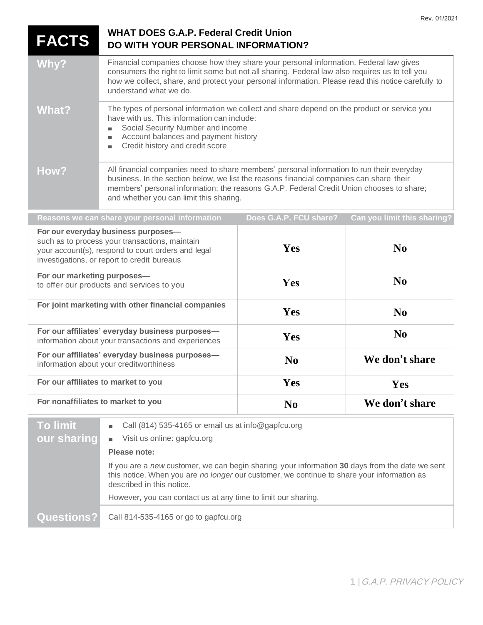| <b>FACTS</b>                                                                                                                                                                               | <b>WHAT DOES G.A.P. Federal Credit Union</b><br>DO WITH YOUR PERSONAL INFORMATION?                                                                                                                                                                                                                                          |                        |                             |
|--------------------------------------------------------------------------------------------------------------------------------------------------------------------------------------------|-----------------------------------------------------------------------------------------------------------------------------------------------------------------------------------------------------------------------------------------------------------------------------------------------------------------------------|------------------------|-----------------------------|
| Why?                                                                                                                                                                                       | Financial companies choose how they share your personal information. Federal law gives<br>consumers the right to limit some but not all sharing. Federal law also requires us to tell you<br>how we collect, share, and protect your personal information. Please read this notice carefully to<br>understand what we do.   |                        |                             |
| <b>What?</b>                                                                                                                                                                               | The types of personal information we collect and share depend on the product or service you<br>have with us. This information can include:<br>Social Security Number and income<br>Account balances and payment history<br>Credit history and credit score                                                                  |                        |                             |
| How?                                                                                                                                                                                       | All financial companies need to share members' personal information to run their everyday<br>business. In the section below, we list the reasons financial companies can share their<br>members' personal information; the reasons G.A.P. Federal Credit Union chooses to share;<br>and whether you can limit this sharing. |                        |                             |
|                                                                                                                                                                                            | Reasons we can share your personal information                                                                                                                                                                                                                                                                              | Does G.A.P. FCU share? | Can you limit this sharing? |
| For our everyday business purposes-<br>such as to process your transactions, maintain<br>your account(s), respond to court orders and legal<br>investigations, or report to credit bureaus |                                                                                                                                                                                                                                                                                                                             | Yes                    | $\bf N$ <sub>0</sub>        |
| For our marketing purposes-<br>to offer our products and services to you                                                                                                                   |                                                                                                                                                                                                                                                                                                                             | Yes                    | No                          |
| For joint marketing with other financial companies                                                                                                                                         |                                                                                                                                                                                                                                                                                                                             | Yes                    | $\bf No$                    |
| For our affiliates' everyday business purposes-<br>information about your transactions and experiences                                                                                     |                                                                                                                                                                                                                                                                                                                             | Yes                    | N <sub>0</sub>              |
| For our affiliates' everyday business purposes-<br>information about your creditworthiness                                                                                                 |                                                                                                                                                                                                                                                                                                                             | N <sub>0</sub>         | We don't share              |
| For our affiliates to market to you                                                                                                                                                        |                                                                                                                                                                                                                                                                                                                             | Yes                    | Yes                         |
| For nonaffiliates to market to you                                                                                                                                                         |                                                                                                                                                                                                                                                                                                                             | N <sub>0</sub>         | We don't share              |
| <b>To limit</b>                                                                                                                                                                            | Call (814) 535-4165 or email us at info@gapfcu.org                                                                                                                                                                                                                                                                          |                        |                             |
| our sharing                                                                                                                                                                                | Visit us online: gapfcu.org                                                                                                                                                                                                                                                                                                 |                        |                             |
|                                                                                                                                                                                            | Please note:                                                                                                                                                                                                                                                                                                                |                        |                             |
|                                                                                                                                                                                            | If you are a new customer, we can begin sharing your information 30 days from the date we sent<br>this notice. When you are no longer our customer, we continue to share your information as<br>described in this notice.                                                                                                   |                        |                             |
|                                                                                                                                                                                            | However, you can contact us at any time to limit our sharing.                                                                                                                                                                                                                                                               |                        |                             |
| <b>Questions?</b>                                                                                                                                                                          | Call 814-535-4165 or go to gapfcu.org                                                                                                                                                                                                                                                                                       |                        |                             |